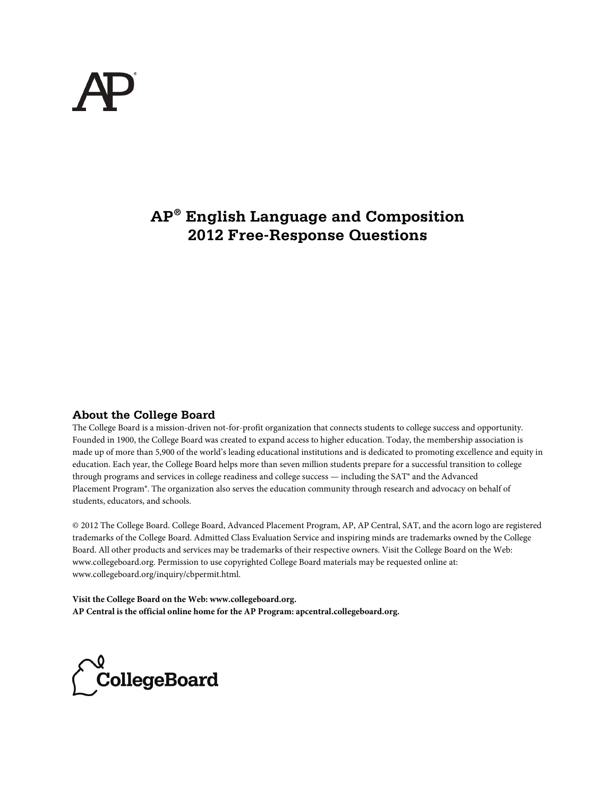

## **AP® English Language and Composition 2012 Free-Response Questions**

### **About the College Board**

The College Board is a mission-driven not-for-profit organization that connects students to college success and opportunity. Founded in 1900, the College Board was created to expand access to higher education. Today, the membership association is made up of more than 5,900 of the world's leading educational institutions and is dedicated to promoting excellence and equity in education. Each year, the College Board helps more than seven million students prepare for a successful transition to college through programs and services in college readiness and college success — including the SAT® and the Advanced Placement Program®. The organization also serves the education community through research and advocacy on behalf of students, educators, and schools.

© 2012 The College Board. College Board, Advanced Placement Program, AP, AP Central, SAT, and the acorn logo are registered trademarks of the College Board. Admitted Class Evaluation Service and inspiring minds are trademarks owned by the College Board. All other products and services may be trademarks of their respective owners. Visit the College Board on the Web: www.collegeboard.org. Permission to use copyrighted College Board materials may be requested online at: www.collegeboard.org/inquiry/cbpermit.html.

**Visit the College Board on the Web: www.collegeboard.org. AP Central is the official online home for the AP Program: apcentral.collegeboard.org.**

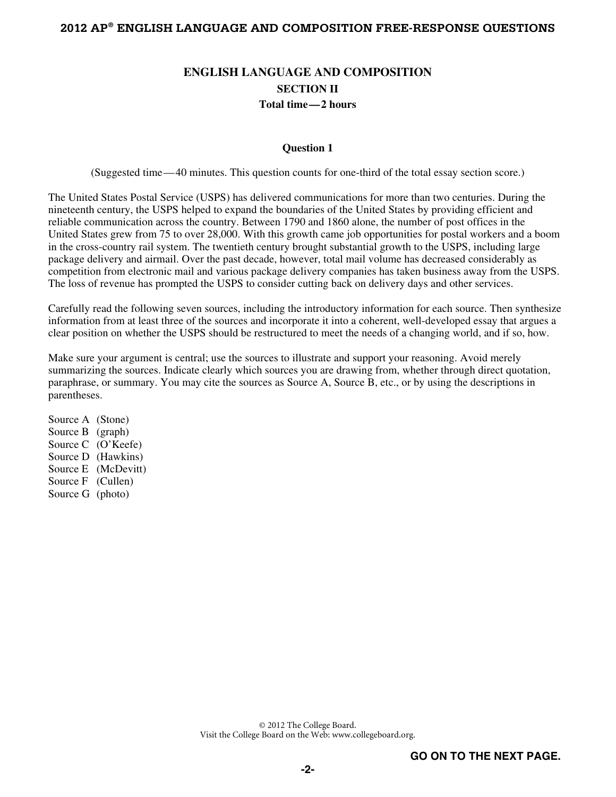### **ENGLISH LANGUAGE AND COMPOSITION SECTION II Total time—2 hours**

### **Question 1**

(Suggested time—40 minutes. This question counts for one-third of the total essay section score.)

The United States Postal Service (USPS) has delivered communications for more than two centuries. During the nineteenth century, the USPS helped to expand the boundaries of the United States by providing efficient and reliable communication across the country. Between 1790 and 1860 alone, the number of post offices in the United States grew from 75 to over 28,000. With this growth came job opportunities for postal workers and a boom in the cross-country rail system. The twentieth century brought substantial growth to the USPS, including large package delivery and airmail. Over the past decade, however, total mail volume has decreased considerably as competition from electronic mail and various package delivery companies has taken business away from the USPS. The loss of revenue has prompted the USPS to consider cutting back on delivery days and other services.

Carefully read the following seven sources, including the introductory information for each source. Then synthesize information from at least three of the sources and incorporate it into a coherent, well-developed essay that argues a clear position on whether the USPS should be restructured to meet the needs of a changing world, and if so, how.

Make sure your argument is central; use the sources to illustrate and support your reasoning. Avoid merely summarizing the sources. Indicate clearly which sources you are drawing from, whether through direct quotation, paraphrase, or summary. You may cite the sources as Source A, Source B, etc., or by using the descriptions in parentheses.

Source A (Stone) Source B (graph) Source C (O'Keefe) Source D (Hawkins) Source E (McDevitt) Source F (Cullen) Source G (photo)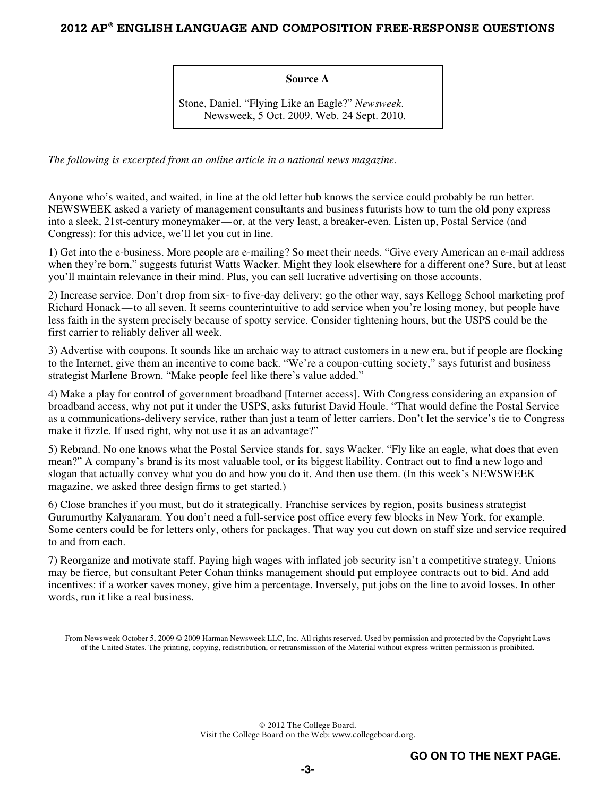#### **Source A**

Stone, Daniel. "Flying Like an Eagle?" *Newsweek*. Newsweek, 5 Oct. 2009. Web. 24 Sept. 2010.

*The following is excerpted from an online article in a national news magazine.* 

Anyone who's waited, and waited, in line at the old letter hub knows the service could probably be run better. NEWSWEEK asked a variety of management consultants and business futurists how to turn the old pony express into a sleek, 21st-century moneymaker—or, at the very least, a breaker-even. Listen up, Postal Service (and Congress): for this advice, we'll let you cut in line.

1) Get into the e-business. More people are e-mailing? So meet their needs. "Give every American an e-mail address when they're born," suggests futurist Watts Wacker. Might they look elsewhere for a different one? Sure, but at least you'll maintain relevance in their mind. Plus, you can sell lucrative advertising on those accounts.

2) Increase service. Don't drop from six- to five-day delivery; go the other way, says Kellogg School marketing prof Richard Honack—to all seven. It seems counterintuitive to add service when you're losing money, but people have less faith in the system precisely because of spotty service. Consider tightening hours, but the USPS could be the first carrier to reliably deliver all week.

3) Advertise with coupons. It sounds like an archaic way to attract customers in a new era, but if people are flocking to the Internet, give them an incentive to come back. "We're a coupon-cutting society," says futurist and business strategist Marlene Brown. "Make people feel like there's value added."

4) Make a play for control of government broadband [Internet access]. With Congress considering an expansion of broadband access, why not put it under the USPS, asks futurist David Houle. "That would define the Postal Service as a communications-delivery service, rather than just a team of letter carriers. Don't let the service's tie to Congress make it fizzle. If used right, why not use it as an advantage?"

5) Rebrand. No one knows what the Postal Service stands for, says Wacker. "Fly like an eagle, what does that even mean?" A company's brand is its most valuable tool, or its biggest liability. Contract out to find a new logo and slogan that actually convey what you do and how you do it. And then use them. (In this week's NEWSWEEK magazine, we asked three design firms to get started.)

6) Close branches if you must, but do it strategically. Franchise services by region, posits business strategist Gurumurthy Kalyanaram. You don't need a full-service post office every few blocks in New York, for example. Some centers could be for letters only, others for packages. That way you cut down on staff size and service required to and from each.

7) Reorganize and motivate staff. Paying high wages with inflated job security isn't a competitive strategy. Unions may be fierce, but consultant Peter Cohan thinks management should put employee contracts out to bid. And add incentives: if a worker saves money, give him a percentage. Inversely, put jobs on the line to avoid losses. In other words, run it like a real business.

From Newsweek October 5, 2009 © 2009 Harman Newsweek LLC, Inc. All rights reserved. Used by permission and protected by the Copyright Laws of the United States. The printing, copying, redistribution, or retransmission of the Material without express written permission is prohibited.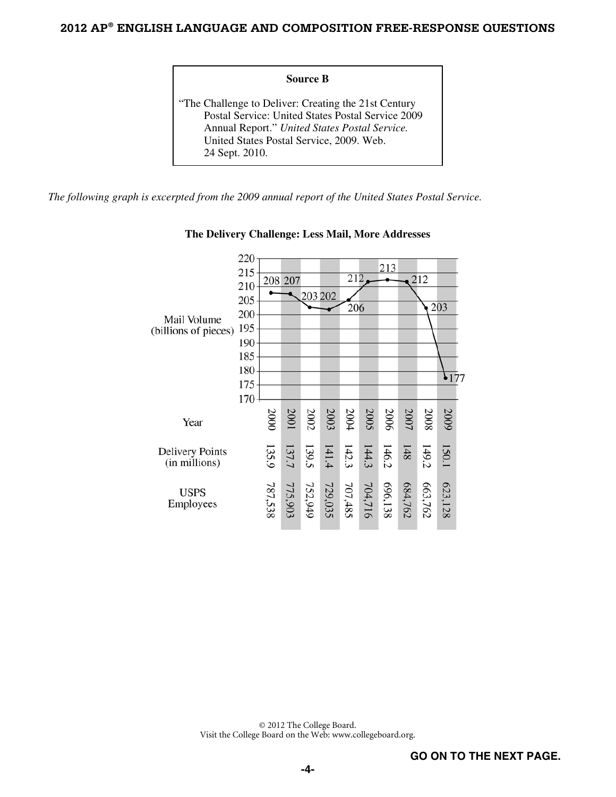| <b>Source B</b>                                                                                                                                                                                                           |
|---------------------------------------------------------------------------------------------------------------------------------------------------------------------------------------------------------------------------|
| "The Challenge to Deliver: Creating the 21st Century"<br>Postal Service: United States Postal Service 2009<br>Annual Report." United States Postal Service.<br>United States Postal Service, 2009. Web.<br>24 Sept. 2010. |

*The following graph is excerpted from the 2009 annual report of the United States Postal Service.* 



**The Delivery Challenge: Less Mail, More Addresses**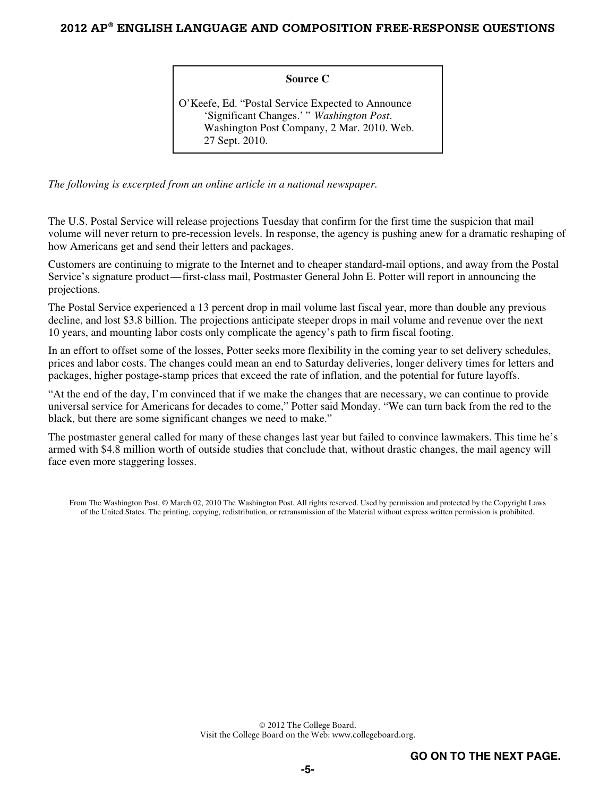#### **Source C**

O'Keefe, Ed. "Postal Service Expected to Announce 'Significant Changes.' " *Washington Post*. Washington Post Company, 2 Mar. 2010. Web. 27 Sept. 2010.

*The following is excerpted from an online article in a national newspaper.* 

The U.S. Postal Service will release projections Tuesday that confirm for the first time the suspicion that mail volume will never return to pre-recession levels. In response, the agency is pushing anew for a dramatic reshaping of how Americans get and send their letters and packages.

Customers are continuing to migrate to the Internet and to cheaper standard-mail options, and away from the Postal Service's signature product—first-class mail, Postmaster General John E. Potter will report in announcing the projections.

The Postal Service experienced a 13 percent drop in mail volume last fiscal year, more than double any previous decline, and lost \$3.8 billion. The projections anticipate steeper drops in mail volume and revenue over the next 10 years, and mounting labor costs only complicate the agency's path to firm fiscal footing.

In an effort to offset some of the losses, Potter seeks more flexibility in the coming year to set delivery schedules, prices and labor costs. The changes could mean an end to Saturday deliveries, longer delivery times for letters and packages, higher postage-stamp prices that exceed the rate of inflation, and the potential for future layoffs.

"At the end of the day, I'm convinced that if we make the changes that are necessary, we can continue to provide universal service for Americans for decades to come," Potter said Monday. "We can turn back from the red to the black, but there are some significant changes we need to make."

The postmaster general called for many of these changes last year but failed to convince lawmakers. This time he's armed with \$4.8 million worth of outside studies that conclude that, without drastic changes, the mail agency will face even more staggering losses.

From The Washington Post, © March 02, 2010 The Washington Post. All rights reserved. Used by permission and protected by the Copyright Laws of the United States. The printing, copying, redistribution, or retransmission of the Material without express written permission is prohibited.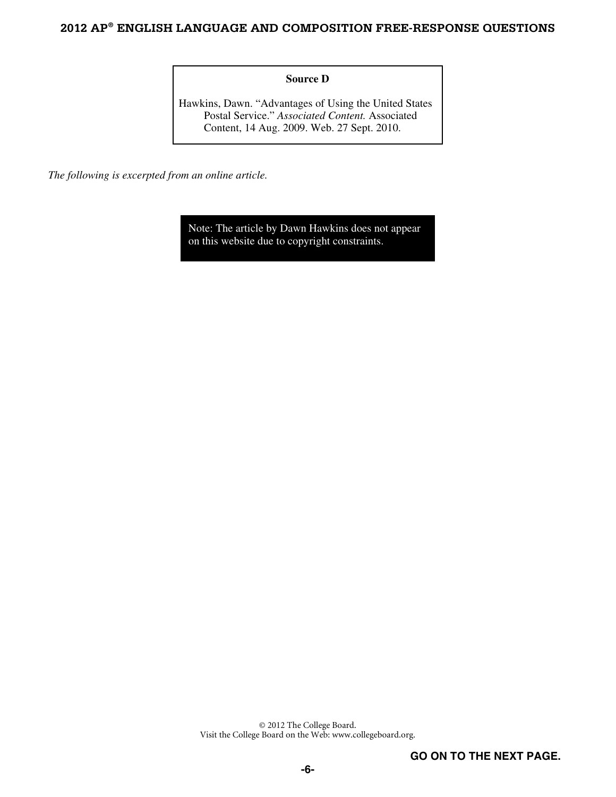#### **Source D**

Hawkins, Dawn. "Advantages of Using the United States Postal Service." *Associated Content.* Associated Content, 14 Aug. 2009. Web. 27 Sept. 2010.

*The following is excerpted from an online article.* 

Note: The article by Dawn Hawkins does not appear on this website due to copyright constraints.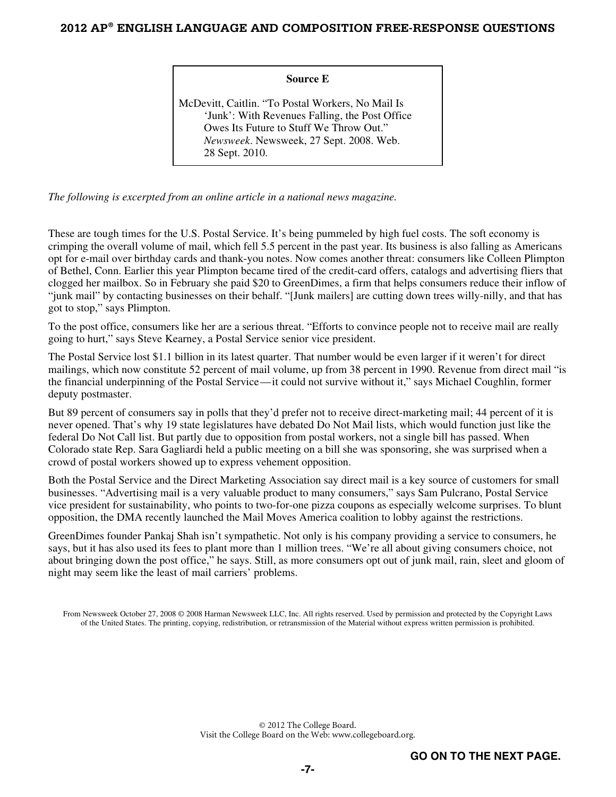#### **Source E**

McDevitt, Caitlin. "To Postal Workers, No Mail Is 'Junk': With Revenues Falling, the Post Office Owes Its Future to Stuff We Throw Out." *Newsweek*. Newsweek, 27 Sept. 2008. Web. 28 Sept. 2010.

*The following is excerpted from an online article in a national news magazine.* 

These are tough times for the U.S. Postal Service. It's being pummeled by high fuel costs. The soft economy is crimping the overall volume of mail, which fell 5.5 percent in the past year. Its business is also falling as Americans opt for e-mail over birthday cards and thank-you notes. Now comes another threat: consumers like Colleen Plimpton of Bethel, Conn. Earlier this year Plimpton became tired of the credit-card offers, catalogs and advertising fliers that clogged her mailbox. So in February she paid \$20 to GreenDimes, a firm that helps consumers reduce their inflow of "junk mail" by contacting businesses on their behalf. "[Junk mailers] are cutting down trees willy-nilly, and that has got to stop," says Plimpton.

To the post office, consumers like her are a serious threat. "Efforts to convince people not to receive mail are really going to hurt," says Steve Kearney, a Postal Service senior vice president.

The Postal Service lost \$1.1 billion in its latest quarter. That number would be even larger if it weren't for direct mailings, which now constitute 52 percent of mail volume, up from 38 percent in 1990. Revenue from direct mail "is the financial underpinning of the Postal Service—it could not survive without it," says Michael Coughlin, former deputy postmaster.

But 89 percent of consumers say in polls that they'd prefer not to receive direct-marketing mail; 44 percent of it is never opened. That's why 19 state legislatures have debated Do Not Mail lists, which would function just like the federal Do Not Call list. But partly due to opposition from postal workers, not a single bill has passed. When Colorado state Rep. Sara Gagliardi held a public meeting on a bill she was sponsoring, she was surprised when a crowd of postal workers showed up to express vehement opposition.

Both the Postal Service and the Direct Marketing Association say direct mail is a key source of customers for small businesses. "Advertising mail is a very valuable product to many consumers," says Sam Pulcrano, Postal Service vice president for sustainability, who points to two-for-one pizza coupons as especially welcome surprises. To blunt opposition, the DMA recently launched the Mail Moves America coalition to lobby against the restrictions.

GreenDimes founder Pankaj Shah isn't sympathetic. Not only is his company providing a service to consumers, he says, but it has also used its fees to plant more than 1 million trees. "We're all about giving consumers choice, not about bringing down the post office," he says. Still, as more consumers opt out of junk mail, rain, sleet and gloom of night may seem like the least of mail carriers' problems.

From Newsweek October 27, 2008 © 2008 Harman Newsweek LLC, Inc. All rights reserved. Used by permission and protected by the Copyright Laws of the United States. The printing, copying, redistribution, or retransmission of the Material without express written permission is prohibited.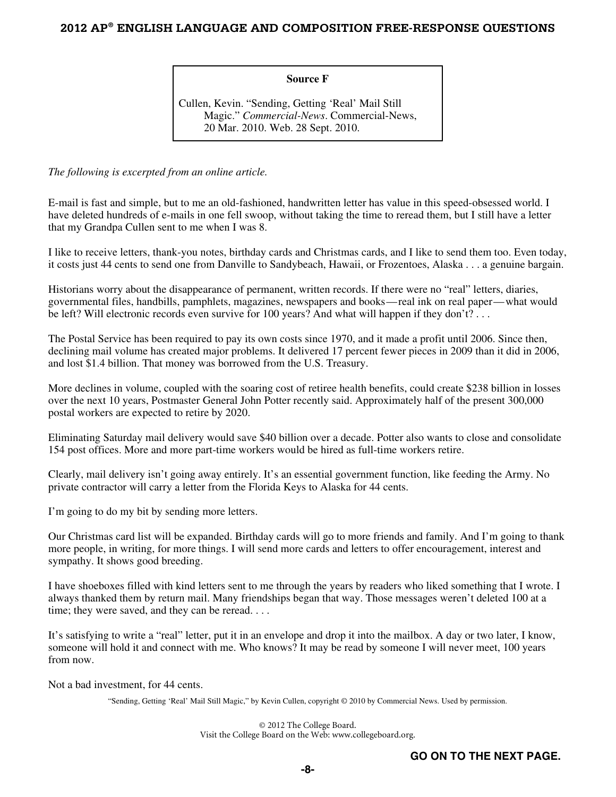#### **Source F**

Cullen, Kevin. "Sending, Getting 'Real' Mail Still Magic." *Commercial-News*. Commercial-News, 20 Mar. 2010. Web. 28 Sept. 2010.

*The following is excerpted from an online article.* 

E-mail is fast and simple, but to me an old-fashioned, handwritten letter has value in this speed-obsessed world. I have deleted hundreds of e-mails in one fell swoop, without taking the time to reread them, but I still have a letter that my Grandpa Cullen sent to me when I was 8.

I like to receive letters, thank-you notes, birthday cards and Christmas cards, and I like to send them too. Even today, it costs just 44 cents to send one from Danville to Sandybeach, Hawaii, or Frozentoes, Alaska . . . a genuine bargain.

Historians worry about the disappearance of permanent, written records. If there were no "real" letters, diaries, governmental files, handbills, pamphlets, magazines, newspapers and books—real ink on real paper—what would be left? Will electronic records even survive for 100 years? And what will happen if they don't? . . .

The Postal Service has been required to pay its own costs since 1970, and it made a profit until 2006. Since then, declining mail volume has created major problems. It delivered 17 percent fewer pieces in 2009 than it did in 2006, and lost \$1.4 billion. That money was borrowed from the U.S. Treasury.

More declines in volume, coupled with the soaring cost of retiree health benefits, could create \$238 billion in losses over the next 10 years, Postmaster General John Potter recently said. Approximately half of the present 300,000 postal workers are expected to retire by 2020.

Eliminating Saturday mail delivery would save \$40 billion over a decade. Potter also wants to close and consolidate 154 post offices. More and more part-time workers would be hired as full-time workers retire.

Clearly, mail delivery isn't going away entirely. It's an essential government function, like feeding the Army. No private contractor will carry a letter from the Florida Keys to Alaska for 44 cents.

I'm going to do my bit by sending more letters.

Our Christmas card list will be expanded. Birthday cards will go to more friends and family. And I'm going to thank more people, in writing, for more things. I will send more cards and letters to offer encouragement, interest and sympathy. It shows good breeding.

I have shoeboxes filled with kind letters sent to me through the years by readers who liked something that I wrote. I always thanked them by return mail. Many friendships began that way. Those messages weren't deleted 100 at a time; they were saved, and they can be reread. . . .

It's satisfying to write a "real" letter, put it in an envelope and drop it into the mailbox. A day or two later, I know, someone will hold it and connect with me. Who knows? It may be read by someone I will never meet, 100 years from now.

Not a bad investment, for 44 cents.

"Sending, Getting 'Real' Mail Still Magic," by Kevin Cullen, copyright © 2010 by Commercial News. Used by permission.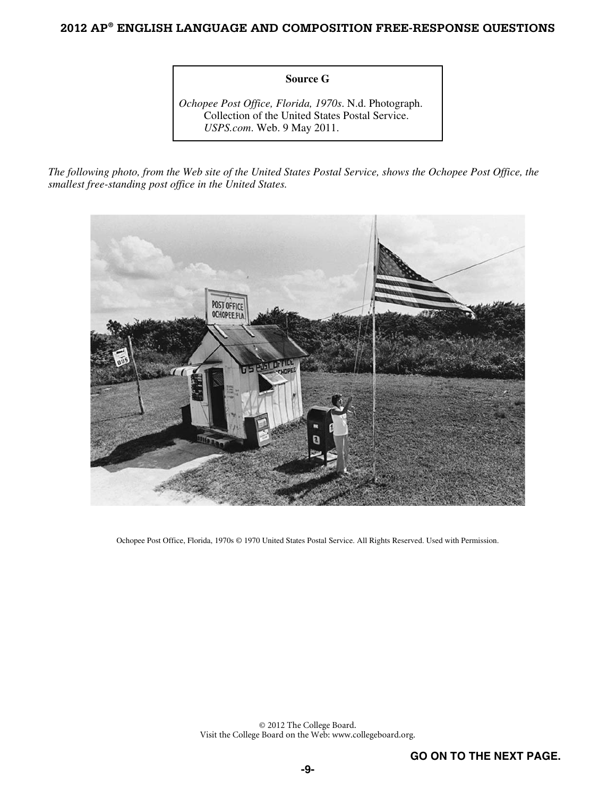#### **Source G**

*Ochopee Post Office, Florida, 1970s*. N.d. Photograph. Collection of the United States Postal Service. *USPS.com*. Web. 9 May 2011.

*The following photo, from the Web site of the United States Postal Service, shows the Ochopee Post Office, the smallest free-standing post office in the United States.* 



Ochopee Post Office, Florida, 1970s © 1970 United States Postal Service. All Rights Reserved. Used with Permission.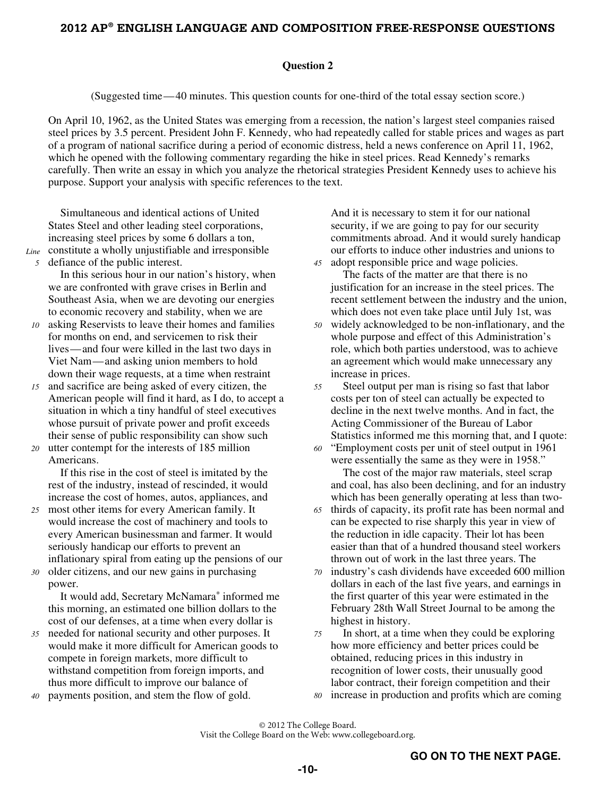### **Question 2**

(Suggested time—40 minutes. This question counts for one-third of the total essay section score.)

On April 10, 1962, as the United States was emerging from a recession, the nation's largest steel companies raised steel prices by 3.5 percent. President John F. Kennedy, who had repeatedly called for stable prices and wages as part of a program of national sacrifice during a period of economic distress, held a news conference on April 11, 1962, which he opened with the following commentary regarding the hike in steel prices. Read Kennedy's remarks carefully. Then write an essay in which you analyze the rhetorical strategies President Kennedy uses to achieve his purpose. Support your analysis with specific references to the text.

Simultaneous and identical actions of United States Steel and other leading steel corporations, increasing steel prices by some 6 dollars a ton, constitute a wholly unjustifiable and irresponsible

*Line*

*5* defiance of the public interest. In this serious hour in our nation's history, when we are confronted with grave crises in Berlin and Southeast Asia, when we are devoting our energies to economic recovery and stability, when we are

- *10* asking Reservists to leave their homes and families for months on end, and servicemen to risk their lives—and four were killed in the last two days in Viet Nam—and asking union members to hold down their wage requests, at a time when restraint
- *15* and sacrifice are being asked of every citizen, the American people will find it hard, as I do, to accept a situation in which a tiny handful of steel executives whose pursuit of private power and profit exceeds their sense of public responsibility can show such
- *20* utter contempt for the interests of 185 million Americans.

If this rise in the cost of steel is imitated by the rest of the industry, instead of rescinded, it would increase the cost of homes, autos, appliances, and

- *25* most other items for every American family. It would increase the cost of machinery and tools to every American businessman and farmer. It would seriously handicap our efforts to prevent an inflationary spiral from eating up the pensions of our
- *30* older citizens, and our new gains in purchasing power.

It would add, Secretary McNamara\* informed me this morning, an estimated one billion dollars to the cost of our defenses, at a time when every dollar is

- *35* needed for national security and other purposes. It would make it more difficult for American goods to compete in foreign markets, more difficult to withstand competition from foreign imports, and thus more difficult to improve our balance of
- payments position, and stem the flow of gold.

And it is necessary to stem it for our national security, if we are going to pay for our security commitments abroad. And it would surely handicap our efforts to induce other industries and unions to

- *45* adopt responsible price and wage policies. The facts of the matter are that there is no justification for an increase in the steel prices. The recent settlement between the industry and the union, which does not even take place until July 1st, was
- *50* widely acknowledged to be non-inflationary, and the whole purpose and effect of this Administration's role, which both parties understood, was to achieve an agreement which would make unnecessary any increase in prices.
- *55* Steel output per man is rising so fast that labor costs per ton of steel can actually be expected to decline in the next twelve months. And in fact, the Acting Commissioner of the Bureau of Labor Statistics informed me this morning that, and I quote:
- *60* "Employment costs per unit of steel output in 1961 were essentially the same as they were in 1958." The cost of the major raw materials, steel scrap and coal, has also been declining, and for an industry which has been generally operating at less than two-
- *65* thirds of capacity, its profit rate has been normal and can be expected to rise sharply this year in view of the reduction in idle capacity. Their lot has been easier than that of a hundred thousand steel workers thrown out of work in the last three years. The
- *70* industry's cash dividends have exceeded 600 million dollars in each of the last five years, and earnings in the first quarter of this year were estimated in the February 28th Wall Street Journal to be among the highest in history.
- *75* In short, at a time when they could be exploring how more efficiency and better prices could be obtained, reducing prices in this industry in recognition of lower costs, their unusually good labor contract, their foreign competition and their
- *80* increase in production and profits which are coming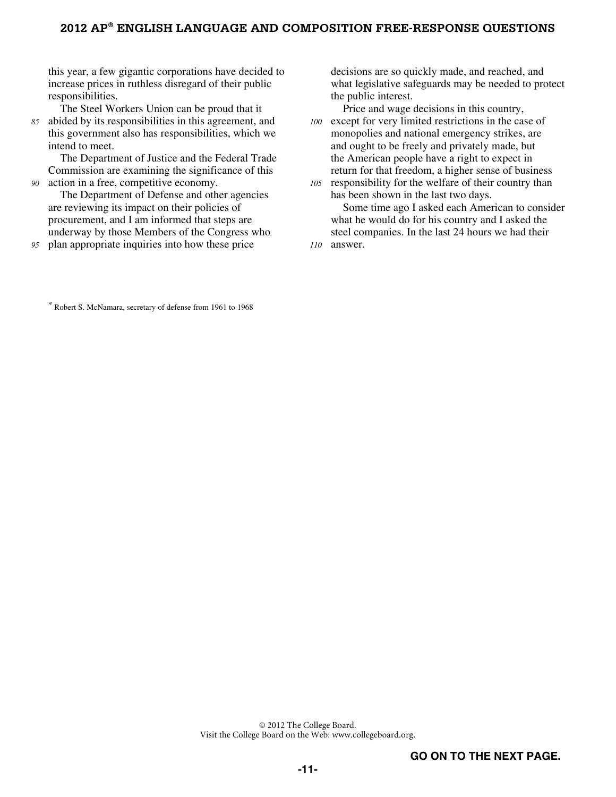this year, a few gigantic corporations have decided to increase prices in ruthless disregard of their public responsibilities.

The Steel Workers Union can be proud that it

*85* abided by its responsibilities in this agreement, and this government also has responsibilities, which we intend to meet.

The Department of Justice and the Federal Trade Commission are examining the significance of this *90* action in a free, competitive economy.

The Department of Defense and other agencies are reviewing its impact on their policies of procurement, and I am informed that steps are underway by those Members of the Congress who

*95* plan appropriate inquiries into how these price

decisions are so quickly made, and reached, and what legislative safeguards may be needed to protect the public interest.

Price and wage decisions in this country,

*100* except for very limited restrictions in the case of monopolies and national emergency strikes, are and ought to be freely and privately made, but the American people have a right to expect in return for that freedom, a higher sense of business

*105* responsibility for the welfare of their country than has been shown in the last two days. Some time ago I asked each American to consider what he would do for his country and I asked the steel companies. In the last 24 hours we had their

*110* answer.

<sup>\*</sup> Robert S. McNamara, secretary of defense from 1961 to 1968